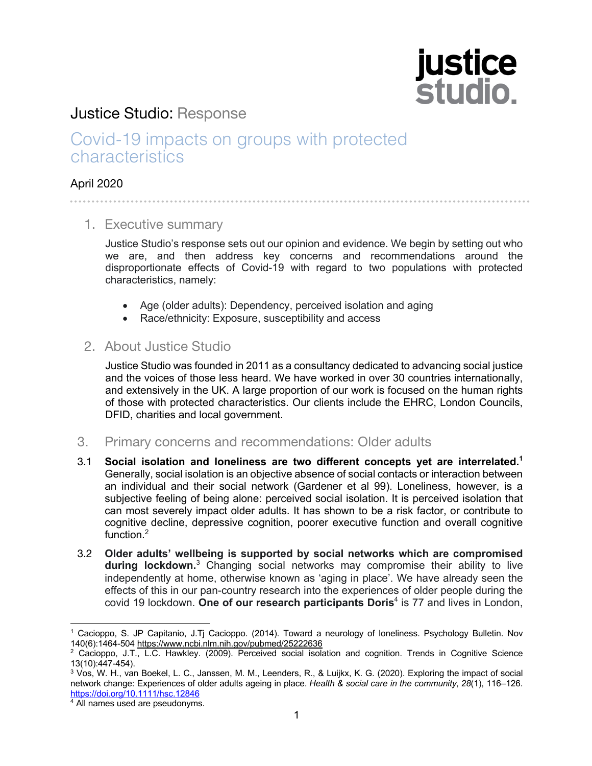# **justice<br>studio.**

### Justice Studio: Response

## Covid-19 impacts on groups with protected characteristics

#### April 2020

#### 1. Executive summary

Justice Studio's response sets out our opinion and evidence. We begin by setting out who we are, and then address key concerns and recommendations around the disproportionate effects of Covid-19 with regard to two populations with protected characteristics, namely:

- Age (older adults): Dependency, perceived isolation and aging
- Race/ethnicity: Exposure, susceptibility and access

#### 2. About Justice Studio

Justice Studio was founded in 2011 as a consultancy dedicated to advancing social justice and the voices of those less heard. We have worked in over 30 countries internationally, and extensively in the UK. A large proportion of our work is focused on the human rights of those with protected characteristics. Our clients include the EHRC, London Councils, DFID, charities and local government.

- 3. Primary concerns and recommendations: Older adults
- 3.1 **Social isolation and loneliness are two different concepts yet are interrelated.1** Generally, social isolation is an objective absence of social contacts or interaction between an individual and their social network (Gardener et al 99). Loneliness, however, is a subjective feeling of being alone: perceived social isolation. It is perceived isolation that can most severely impact older adults. It has shown to be a risk factor, or contribute to cognitive decline, depressive cognition, poorer executive function and overall cognitive function.<sup>2</sup>
- 3.2 **Older adults' wellbeing is supported by social networks which are compromised during lockdown.** <sup>3</sup> Changing social networks may compromise their ability to live independently at home, otherwise known as 'aging in place'. We have already seen the effects of this in our pan-country research into the experiences of older people during the covid 19 lockdown. **One of our research participants Doris**<sup>4</sup> is 77 and lives in London,

<sup>&</sup>lt;sup>1</sup> Cacioppo, S. JP Capitanio, J.Tj Cacioppo. (2014). Toward a neurology of loneliness. Psychology Bulletin. Nov<br>140(6):1464-504 <u>https://www.ncbi.nlm.nih.gov/pubmed/25222636</u>

<sup>&</sup>lt;sup>2</sup> Cacioppo, J.T., L.C. Hawkley. (2009). Perceived social isolation and cognition. Trends in Cognitive Science 13(10):447-454).

<sup>3</sup> Vos, W. H., van Boekel, L. C., Janssen, M. M., Leenders, R., & Luijkx, K. G. (2020). Exploring the impact of social network change: Experiences of older adults ageing in place. *Health & social care in the community*, *28*(1), 116–126. https://doi.org/10.1111/hsc.12846

<sup>&</sup>lt;sup>4</sup> All names used are pseudonyms.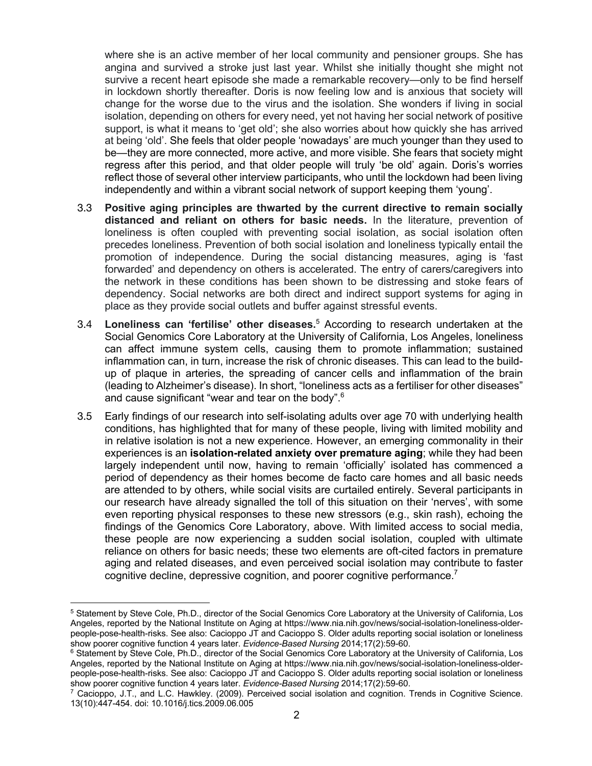where she is an active member of her local community and pensioner groups. She has angina and survived a stroke just last year. Whilst she initially thought she might not survive a recent heart episode she made a remarkable recovery—only to be find herself in lockdown shortly thereafter. Doris is now feeling low and is anxious that society will change for the worse due to the virus and the isolation. She wonders if living in social isolation, depending on others for every need, yet not having her social network of positive support, is what it means to 'get old'; she also worries about how quickly she has arrived at being 'old'. She feels that older people 'nowadays' are much younger than they used to be—they are more connected, more active, and more visible. She fears that society might regress after this period, and that older people will truly 'be old' again. Doris's worries reflect those of several other interview participants, who until the lockdown had been living independently and within a vibrant social network of support keeping them 'young'.

- 3.3 **Positive aging principles are thwarted by the current directive to remain socially distanced and reliant on others for basic needs.** In the literature, prevention of loneliness is often coupled with preventing social isolation, as social isolation often precedes loneliness. Prevention of both social isolation and loneliness typically entail the promotion of independence. During the social distancing measures, aging is 'fast forwarded' and dependency on others is accelerated. The entry of carers/caregivers into the network in these conditions has been shown to be distressing and stoke fears of dependency. Social networks are both direct and indirect support systems for aging in place as they provide social outlets and buffer against stressful events.
- 3.4 **Loneliness can 'fertilise' other diseases.**<sup>5</sup> According to research undertaken at the Social Genomics Core Laboratory at the University of California, Los Angeles, loneliness can affect immune system cells, causing them to promote inflammation; sustained inflammation can, in turn, increase the risk of chronic diseases. This can lead to the buildup of plaque in arteries, the spreading of cancer cells and inflammation of the brain (leading to Alzheimer's disease). In short, "loneliness acts as a fertiliser for other diseases" and cause significant "wear and tear on the body".6
- 3.5 Early findings of our research into self-isolating adults over age 70 with underlying health conditions, has highlighted that for many of these people, living with limited mobility and in relative isolation is not a new experience. However, an emerging commonality in their experiences is an **isolation-related anxiety over premature aging**; while they had been largely independent until now, having to remain 'officially' isolated has commenced a period of dependency as their homes become de facto care homes and all basic needs are attended to by others, while social visits are curtailed entirely. Several participants in our research have already signalled the toll of this situation on their 'nerves', with some even reporting physical responses to these new stressors (e.g., skin rash), echoing the findings of the Genomics Core Laboratory, above. With limited access to social media, these people are now experiencing a sudden social isolation, coupled with ultimate reliance on others for basic needs; these two elements are oft-cited factors in premature aging and related diseases, and even perceived social isolation may contribute to faster cognitive decline, depressive cognition, and poorer cognitive performance.<sup>7</sup>

<sup>5</sup> Statement by Steve Cole, Ph.D., director of the Social Genomics Core Laboratory at the University of California, Los Angeles, reported by the National Institute on Aging at https://www.nia.nih.gov/news/social-isolation-loneliness-olderpeople-pose-health-risks. See also: Cacioppo JT and Cacioppo S. Older adults reporting social isolation or loneliness show poorer cognitive function 4 years later. *Evidence-Based Nursing* 2014;17(2):59-60.

<sup>&</sup>lt;sup>6</sup> Statement by Steve Cole, Ph.D., director of the Social Genomics Core Laboratory at the University of California, Los Angeles, reported by the National Institute on Aging at https://www.nia.nih.gov/news/social-isolation-loneliness-olderpeople-pose-health-risks. See also: Cacioppo JT and Cacioppo S. Older adults reporting social isolation or loneliness show poorer cognitive function 4 years later. *Evidence-Based Nursing* 2014;17(2):59-60.

<sup>7</sup> Cacioppo, J.T., and L.C. Hawkley. (2009). Perceived social isolation and cognition. Trends in Cognitive Science. 13(10):447-454. doi: 10.1016/j.tics.2009.06.005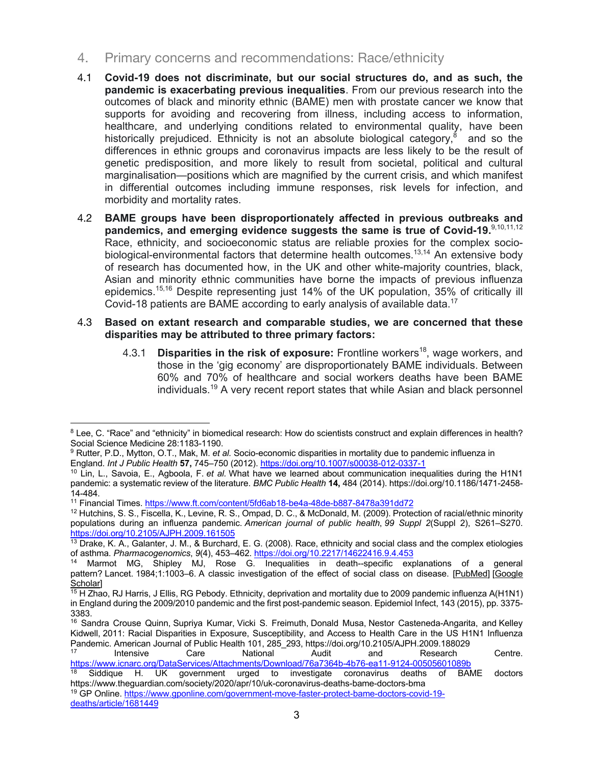- 4. Primary concerns and recommendations: Race/ethnicity
- 4.1 **Covid-19 does not discriminate, but our social structures do, and as such, the pandemic is exacerbating previous inequalities**. From our previous research into the outcomes of black and minority ethnic (BAME) men with prostate cancer we know that supports for avoiding and recovering from illness, including access to information, healthcare, and underlying conditions related to environmental quality, have been historically prejudiced. Ethnicity is not an absolute biological category,<sup>8</sup> and so the differences in ethnic groups and coronavirus impacts are less likely to be the result of genetic predisposition, and more likely to result from societal, political and cultural marginalisation—positions which are magnified by the current crisis, and which manifest in differential outcomes including immune responses, risk levels for infection, and morbidity and mortality rates.
- 4.2 **BAME groups have been disproportionately affected in previous outbreaks and pandemics, and emerging evidence suggests the same is true of Covid-19.**9,10,11,12 Race, ethnicity, and socioeconomic status are reliable proxies for the complex sociobiological-environmental factors that determine health outcomes.<sup>13,14</sup> An extensive body of research has documented how, in the UK and other white-majority countries, black, Asian and minority ethnic communities have borne the impacts of previous influenza epidemics.<sup>15,16</sup> Despite representing just 14% of the UK population, 35% of critically ill Covid-18 patients are BAME according to early analysis of available data.<sup>17</sup>
- 4.3 **Based on extant research and comparable studies, we are concerned that these disparities may be attributed to three primary factors:**
	- 4.3.1 **Disparities in the risk of exposure:** Frontline workers<sup>18</sup>, wage workers, and those in the 'gig economy' are disproportionately BAME individuals. Between 60% and 70% of healthcare and social workers deaths have been BAME individuals. <sup>19</sup> A very recent report states that while Asian and black personnel

<sup>&</sup>lt;sup>8</sup> Lee, C. "Race" and "ethnicity" in biomedical research: How do scientists construct and explain differences in health? Social Science Medicine 28:1183-1190.

<sup>9</sup> Rutter, P.D., Mytton, O.T., Mak, M. *et al.* Socio-economic disparities in mortality due to pandemic influenza in England. *Int J Public Health* **57,** 745–750 (2012). https://doi.org/10.1007/s00038-012-0337-1

<sup>10</sup> Lin, L., Savoia, E., Agboola, F. *et al.* What have we learned about communication inequalities during the H1N1 pandemic: a systematic review of the literature. *BMC Public Health* **14,** 484 (2014). https://doi.org/10.1186/1471-2458- 14-484.

<sup>11</sup> Financial Times. https://www.ft.com/content/5fd6ab18-be4a-48de-b887-8478a391dd72

<sup>12</sup> Hutchins, S. S., Fiscella, K., Levine, R. S., Ompad, D. C., & McDonald, M. (2009). Protection of racial/ethnic minority populations during an influenza pandemic. *American journal of public health*, *99 Suppl 2*(Suppl 2), S261–S270. https://doi.org/10.2105/AJPH.2009.161505

<sup>13</sup> Drake, K. A., Galanter, J. M., & Burchard, E. G. (2008). Race, ethnicity and social class and the complex etiologies of asthma. *Pharmacogenomics*, *9*(4), 453–462. https://doi.org/10.2217/14622416.9.4.453

<sup>&</sup>lt;sup>14</sup> Marmot MG, Shipley MJ, Rose G. Inequalities in death--specific explanations of a general pattern? Lancet. 1984;1:1003–6. A classic investigation of the effect of social class on disease. [PubMed] [Google Scholar]

<sup>&</sup>lt;sup>15</sup> H Zhao, RJ Harris, J Ellis, RG Pebody. Ethnicity, deprivation and mortality due to 2009 pandemic influenza A(H1N1) in England during the 2009/2010 pandemic and the first post-pandemic season. Epidemiol Infect, 143 (2015), pp. 3375- 3383.

<sup>16</sup> Sandra Crouse Quinn, Supriya Kumar, Vicki S. Freimuth, Donald Musa, Nestor Casteneda-Angarita, and Kelley Kidwell, 2011: Racial Disparities in Exposure, Susceptibility, and Access to Health Care in the US H1N1 Influenza Pandemic. American Journal of Public Health 101, 285\_293, https://doi.org/10.2105/AJPH.2009.188029

<sup>17</sup> Intensive Care National Audit and Research Centre. https://www.icnarc.org/DataServices/Attachments/Download/76a7364b-4b76-ea11-9124-00505601089b

 $18$  Siddique H. UK government urged to investigate coronavirus deaths of BAME doctors https://www.theguardian.com/society/2020/apr/10/uk-coronavirus-deaths-bame-doctors-bma <sup>19</sup> GP Online. https://www.gponline.com/government-move-faster-protect-bame-doctors-covid-19-

deaths/article/1681449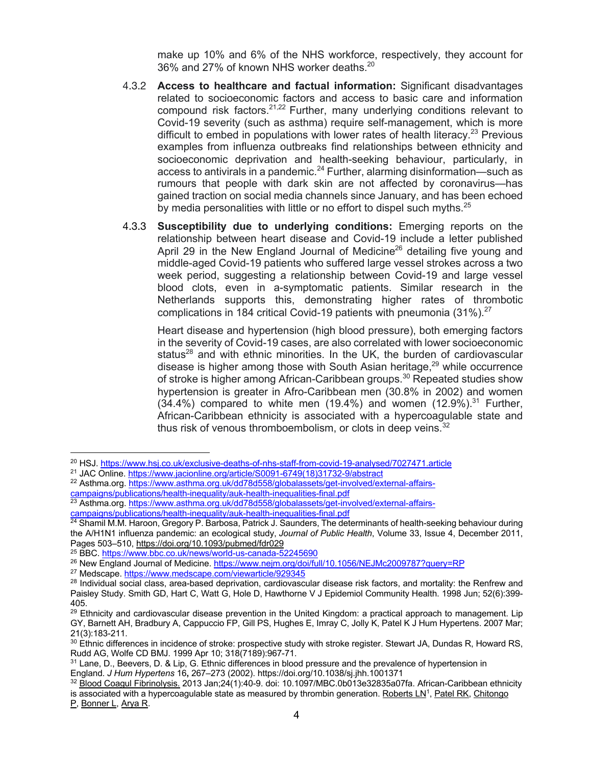make up 10% and 6% of the NHS workforce, respectively, they account for 36% and 27% of known NHS worker deaths.<sup>20</sup>

- 4.3.2 **Access to healthcare and factual information:** Significant disadvantages related to socioeconomic factors and access to basic care and information compound risk factors.<sup>21,22</sup> Further, many underlying conditions relevant to Covid-19 severity (such as asthma) require self-management, which is more difficult to embed in populations with lower rates of health literacy.<sup>23</sup> Previous examples from influenza outbreaks find relationships between ethnicity and socioeconomic deprivation and health-seeking behaviour, particularly, in access to antivirals in a pandemic.<sup>24</sup> Further, alarming disinformation—such as rumours that people with dark skin are not affected by coronavirus—has gained traction on social media channels since January, and has been echoed by media personalities with little or no effort to dispel such myths. $25$
- 4.3.3 **Susceptibility due to underlying conditions:** Emerging reports on the relationship between heart disease and Covid-19 include a letter published April 29 in the New England Journal of Medicine<sup>26</sup> detailing five young and middle-aged Covid-19 patients who suffered large vessel strokes across a two week period, suggesting a relationship between Covid-19 and large vessel blood clots, even in a-symptomatic patients. Similar research in the Netherlands supports this, demonstrating higher rates of thrombotic complications in 184 critical Covid-19 patients with pneumonia  $(31\%)$ <sup>27</sup>

Heart disease and hypertension (high blood pressure), both emerging factors in the severity of Covid-19 cases, are also correlated with lower socioeconomic status<sup>28</sup> and with ethnic minorities. In the UK, the burden of cardiovascular disease is higher among those with South Asian heritage,<sup>29</sup> while occurrence of stroke is higher among African-Caribbean groups.<sup>30</sup> Repeated studies show hypertension is greater in Afro-Caribbean men (30.8% in 2002) and women  $(34.4%)$  compared to white men  $(19.4%)$  and women  $(12.9%)$ .<sup>31</sup> Further, African-Caribbean ethnicity is associated with a hypercoagulable state and thus risk of venous thromboembolism, or clots in deep veins. $3$ 

P, Bonner L, Arya R.

<sup>20</sup> HSJ. https://www.hsj.co.uk/exclusive-deaths-of-nhs-staff-from-covid-19-analysed/7027471.article

<sup>&</sup>lt;sup>21</sup> JAC Online. https://www.jacionline.org/article/S0091-6749(18)31732-9/abstract

<sup>&</sup>lt;sup>22</sup> Asthma.org. https://www.asthma.org.uk/dd78d558/globalassets/get-involved/external-affairs-

campaigns/publications/health-inequality/auk-health-inequalities-final.pdf

<sup>23</sup> Asthma.org. https://www.asthma.org.uk/dd78d558/globalassets/get-involved/external-affairscampaigns/publications/health-inequality/auk-health-inequalities-final.pdf

<sup>&</sup>lt;sup>24</sup> Shamil M.M. Haroon, Gregory P. Barbosa, Patrick J. Saunders, The determinants of health-seeking behaviour during the A/H1N1 influenza pandemic: an ecological study, *Journal of Public Health*, Volume 33, Issue 4, December 2011, Pages 503–510, https://doi.org/10.1093/pubmed/fdr029

<sup>25</sup> BBC. https://www.bbc.co.uk/news/world-us-canada-52245690

<sup>&</sup>lt;sup>26</sup> New England Journal of Medicine. https://www.nejm.org/doi/full/10.1056/NEJMc2009787?query=RP

<sup>&</sup>lt;sup>27</sup> Medscape. https://www.medscape.com/viewarticle/929345

<sup>&</sup>lt;sup>28</sup> Individual social class, area-based deprivation, cardiovascular disease risk factors, and mortality: the Renfrew and Paisley Study. Smith GD, Hart C, Watt G, Hole D, Hawthorne V J Epidemiol Community Health. 1998 Jun; 52(6):399- 405.

<sup>&</sup>lt;sup>29</sup> Ethnicity and cardiovascular disease prevention in the United Kingdom: a practical approach to management. Lip GY, Barnett AH, Bradbury A, Cappuccio FP, Gill PS, Hughes E, Imray C, Jolly K, Patel K J Hum Hypertens. 2007 Mar; 21(3):183-211.

 $30$  Ethnic differences in incidence of stroke: prospective study with stroke register. Stewart JA, Dundas R, Howard RS, Rudd AG, Wolfe CD BMJ. 1999 Apr 10; 318(7189):967-71.

<sup>31</sup> Lane, D., Beevers, D. & Lip, G. Ethnic differences in blood pressure and the prevalence of hypertension in England. *J Hum Hypertens* 16**,** 267–273 (2002). https://doi.org/10.1038/sj.jhh.1001371

<sup>&</sup>lt;sup>32</sup> Blood Coagul Fibrinolysis. 2013 Jan;24(1):40-9. doi: 10.1097/MBC.0b013e32835a07fa. African-Caribbean ethnicity is associated with a hypercoagulable state as measured by thrombin generation. Roberts  $LN<sup>1</sup>$ , Patel RK, Chitongo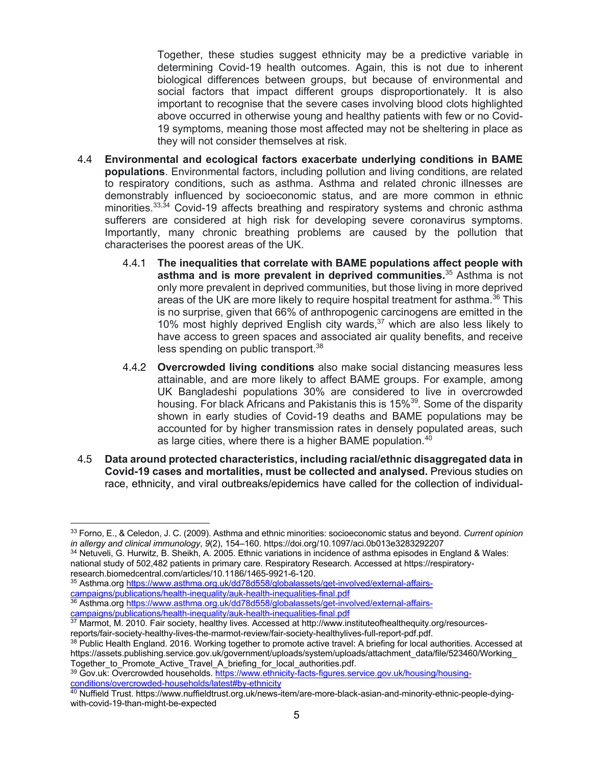Together, these studies suggest ethnicity may be a predictive variable in determining Covid-19 health outcomes. Again, this is not due to inherent biological differences between groups, but because of environmental and social factors that impact different groups disproportionately. It is also important to recognise that the severe cases involving blood clots highlighted above occurred in otherwise young and healthy patients with few or no Covid-19 symptoms, meaning those most affected may not be sheltering in place as they will not consider themselves at risk.

- 4.4 **Environmental and ecological factors exacerbate underlying conditions in BAME populations**. Environmental factors, including pollution and living conditions, are related to respiratory conditions, such as asthma. Asthma and related chronic illnesses are demonstrably influenced by socioeconomic status, and are more common in ethnic minorities.<sup>33,34</sup> Covid-19 affects breathing and respiratory systems and chronic asthma sufferers are considered at high risk for developing severe coronavirus symptoms. Importantly, many chronic breathing problems are caused by the pollution that characterises the poorest areas of the UK.
	- 4.4.1 **The inequalities that correlate with BAME populations affect people with asthma and is more prevalent in deprived communities.**<sup>35</sup> Asthma is not only more prevalent in deprived communities, but those living in more deprived areas of the UK are more likely to require hospital treatment for asthma.<sup>36</sup> This is no surprise, given that 66% of anthropogenic carcinogens are emitted in the 10% most highly deprived English city wards, <sup>37</sup> which are also less likely to have access to green spaces and associated air quality benefits, and receive less spending on public transport.<sup>38</sup>
	- 4.4.2 **Overcrowded living conditions** also make social distancing measures less attainable, and are more likely to affect BAME groups. For example, among UK Bangladeshi populations 30% are considered to live in overcrowded housing. For black Africans and Pakistanis this is 15%<sup>39</sup>. Some of the disparity shown in early studies of Covid-19 deaths and BAME populations may be accounted for by higher transmission rates in densely populated areas, such as large cities, where there is a higher BAME population. $40$
- 4.5 **Data around protected characteristics, including racial/ethnic disaggregated data in Covid-19 cases and mortalities, must be collected and analysed.** Previous studies on race, ethnicity, and viral outbreaks/epidemics have called for the collection of individual-

<sup>33</sup> Forno, E., & Celedon, J. C. (2009). Asthma and ethnic minorities: socioeconomic status and beyond. *Current opinion in allergy and clinical immunology*, *9*(2), 154–160. https://doi.org/10.1097/aci.0b013e3283292207

<sup>34</sup> Netuveli, G. Hurwitz, B. Sheikh, A. 2005. Ethnic variations in incidence of asthma episodes in England & Wales: national study of 502,482 patients in primary care. Respiratory Research. Accessed at https://respiratory-research.biomedcentral.com/articles/10.1186/1465-9921-6-120.

<sup>35</sup> Asthma.org https://www.asthma.org.uk/dd78d558/globalassets/get-involved/external-affairscampaigns/publications/health-inequality/auk-health-inequalities-final.pdf

<sup>36</sup> Asthma.org https://www.asthma.org.uk/dd78d558/globalassets/get-involved/external-affairscampaigns/publications/health-inequality/auk-health-inequalities-final.pdf

<sup>&</sup>lt;sup>37</sup> Marmot, M. 2010. Fair society, healthy lives. Accessed at http://www.instituteofhealthequity.org/resourcesreports/fair-society-healthy-lives-the-marmot-review/fair-society-healthylives-full-report-pdf.pdf.

<sup>&</sup>lt;sup>38</sup> Public Health England. 2016. Working together to promote active travel: A briefing for local authorities. Accessed at https://assets.publishing.service.gov.uk/government/uploads/system/uploads/attachment\_data/file/523460/Working\_ Together to Promote Active Travel A briefing for local authorities.pdf.

<sup>39</sup> Gov.uk: Overcrowded households. https://www.ethnicity-facts-figures.service.gov.uk/housing/housingconditions/overcrowded-households/latest#by-ethnicity

 $^{40}$  Nuffield Trust. https://www.nuffieldtrust.org.uk/news-item/are-more-black-asian-and-minority-ethnic-people-dyingwith-covid-19-than-might-be-expected